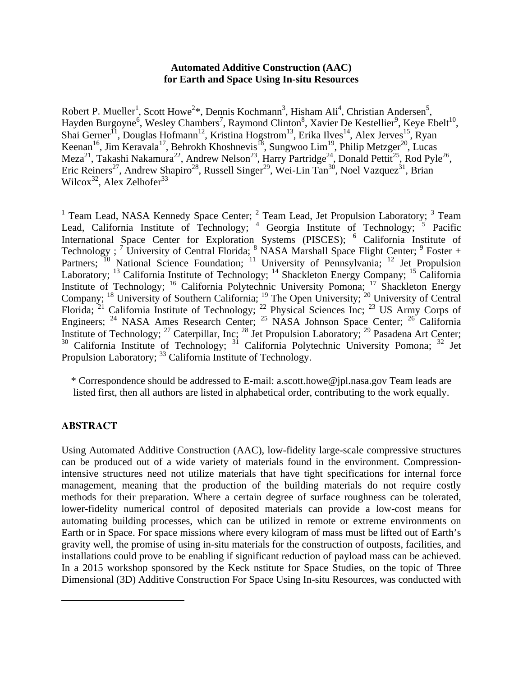## **Automated Additive Construction (AAC) for Earth and Space Using In-situ Resources**

Robert P. Mueller<sup>1</sup>, Scott Howe<sup>2\*</sup>, Dennis Kochmann<sup>3</sup>, Hisham Ali<sup>4</sup>, Christian Andersen<sup>5</sup>, Hayden Burgoyne<sup>6</sup>, Wesley Chambers<sup>7</sup>, Raymond Clinton<sup>8</sup>, Xavier De Kestellier<sup>9</sup>, Keye Ebelt<sup>10</sup>, Shai Gerner<sup>11</sup>, Douglas Hofmann<sup>12</sup>, Kristina Hogstrom<sup>13</sup>, Erika Ilves<sup>14</sup>, Alex Jerves<sup>15</sup>, Ryan Keenan<sup>16</sup>, Jim Keravala<sup>17</sup>, Behrokh Khoshnevis<sup>18</sup>, Sungwoo Lim<sup>19</sup>, Philip Metzger<sup>20</sup>, Lucas Meza<sup>21</sup>, Takashi Nakamura<sup>22</sup>, Andrew Nelson<sup>23</sup>, Harry Partridge<sup>24</sup>, Donald Pettit<sup>25</sup>, Rod Pyle<sup>26</sup>, Eric Reiners<sup>27</sup>, Andrew Shapiro<sup>28</sup>, Russell Singer<sup>29</sup>, Wei-Lin Tan<sup>30</sup>, Noel Vazquez<sup>31</sup>, Brian Wilcox<sup>32</sup>, Alex Zelhofer<sup>33</sup>

<sup>1</sup> Team Lead, NASA Kennedy Space Center;  $^2$  Team Lead, Jet Propulsion Laboratory;  $^3$  Team Lead, California Institute of Technology;  $4\text{ Georgia Institute of Technology}$ ; <sup>5</sup> Pacific International Space Center for Exploration Systems (PISCES); <sup>6</sup> California Institute of Technology; <sup>7</sup> University of Central Florida; <sup>8</sup> NASA Marshall Space Flight Center; <sup>9</sup> Foster + Partners; <sup>10</sup> National Science Foundation; <sup>11</sup> University of Pennsylvania; <sup>12</sup> Jet Propulsion Laboratory; <sup>13</sup> California Institute of Technology; <sup>14</sup> Shackleton Energy Company; <sup>15</sup> California Institute of Technology; <sup>16</sup> California Polytechnic University Pomona; <sup>17</sup> Shackleton Energy Company; <sup>18</sup> University of Southern California; <sup>19</sup> The Open University; <sup>20</sup> University of Central Florida;  $21$  California Institute of Technology;  $22$  Physical Sciences Inc;  $23$  US Army Corps of Engineers; <sup>24</sup> NASA Ames Research Center; <sup>25</sup> NASA Johnson Space Center; <sup>26</sup> California Institute of Technology; <sup>27</sup> Caterpillar, Inc; <sup>28</sup> Jet Propulsion Laboratory; <sup>29</sup> Pasadena Art Center; <sup>30</sup> California Institute of Technology; <sup>31</sup> California Polytechnic University Pomona; <sup>32</sup> Jet Propulsion Laboratory; <sup>33</sup> California Institute of Technology.

\* Correspondence should be addressed to E-mail: a.scott.howe@jpl.nasa.gov Team leads are listed first, then all authors are listed in alphabetical order, contributing to the work equally.

## **ABSTRACT**

 $\overline{a}$ 

Using Automated Additive Construction (AAC), low-fidelity large-scale compressive structures can be produced out of a wide variety of materials found in the environment. Compressionintensive structures need not utilize materials that have tight specifications for internal force management, meaning that the production of the building materials do not require costly methods for their preparation. Where a certain degree of surface roughness can be tolerated, lower-fidelity numerical control of deposited materials can provide a low-cost means for automating building processes, which can be utilized in remote or extreme environments on Earth or in Space. For space missions where every kilogram of mass must be lifted out of Earth's gravity well, the promise of using in-situ materials for the construction of outposts, facilities, and installations could prove to be enabling if significant reduction of payload mass can be achieved. In a 2015 workshop sponsored by the Keck nstitute for Space Studies, on the topic of Three Dimensional (3D) Additive Construction For Space Using In-situ Resources, was conducted with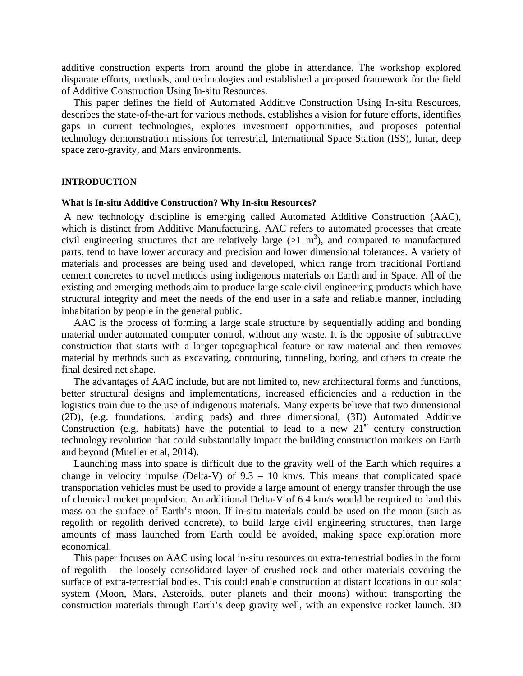additive construction experts from around the globe in attendance. The workshop explored disparate efforts, methods, and technologies and established a proposed framework for the field of Additive Construction Using In-situ Resources.

This paper defines the field of Automated Additive Construction Using In-situ Resources, describes the state-of-the-art for various methods, establishes a vision for future efforts, identifies gaps in current technologies, explores investment opportunities, and proposes potential technology demonstration missions for terrestrial, International Space Station (ISS), lunar, deep space zero-gravity, and Mars environments.

### **INTRODUCTION**

#### **What is In-situ Additive Construction? Why In-situ Resources?**

 A new technology discipline is emerging called Automated Additive Construction (AAC), which is distinct from Additive Manufacturing. AAC refers to automated processes that create civil engineering structures that are relatively large  $(>1 \text{ m}^3)$ , and compared to manufactured parts, tend to have lower accuracy and precision and lower dimensional tolerances. A variety of materials and processes are being used and developed, which range from traditional Portland cement concretes to novel methods using indigenous materials on Earth and in Space. All of the existing and emerging methods aim to produce large scale civil engineering products which have structural integrity and meet the needs of the end user in a safe and reliable manner, including inhabitation by people in the general public.

AAC is the process of forming a large scale structure by sequentially adding and bonding material under automated computer control, without any waste. It is the opposite of subtractive construction that starts with a larger topographical feature or raw material and then removes material by methods such as excavating, contouring, tunneling, boring, and others to create the final desired net shape.

The advantages of AAC include, but are not limited to, new architectural forms and functions, better structural designs and implementations, increased efficiencies and a reduction in the logistics train due to the use of indigenous materials. Many experts believe that two dimensional (2D), (e.g. foundations, landing pads) and three dimensional, (3D) Automated Additive Construction (e.g. habitats) have the potential to lead to a new  $21<sup>st</sup>$  century construction technology revolution that could substantially impact the building construction markets on Earth and beyond (Mueller et al, 2014).

Launching mass into space is difficult due to the gravity well of the Earth which requires a change in velocity impulse (Delta-V) of  $9.3 - 10$  km/s. This means that complicated space transportation vehicles must be used to provide a large amount of energy transfer through the use of chemical rocket propulsion. An additional Delta-V of 6.4 km/s would be required to land this mass on the surface of Earth's moon. If in-situ materials could be used on the moon (such as regolith or regolith derived concrete), to build large civil engineering structures, then large amounts of mass launched from Earth could be avoided, making space exploration more economical.

This paper focuses on AAC using local in-situ resources on extra-terrestrial bodies in the form of regolith – the loosely consolidated layer of crushed rock and other materials covering the surface of extra-terrestrial bodies. This could enable construction at distant locations in our solar system (Moon, Mars, Asteroids, outer planets and their moons) without transporting the construction materials through Earth's deep gravity well, with an expensive rocket launch. 3D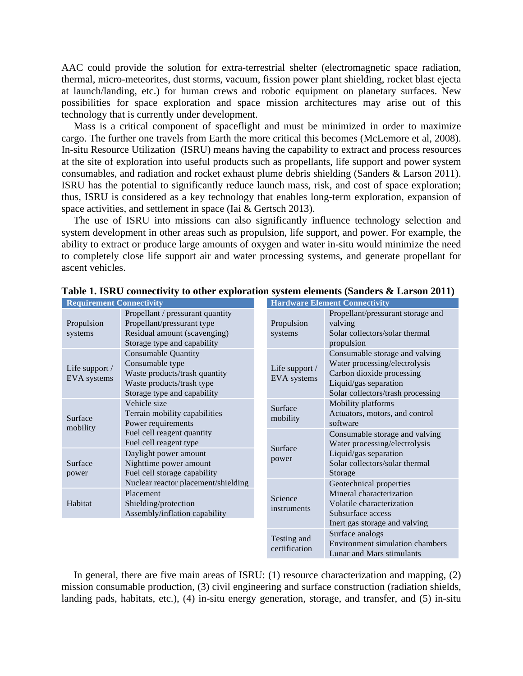AAC could provide the solution for extra-terrestrial shelter (electromagnetic space radiation, thermal, micro-meteorites, dust storms, vacuum, fission power plant shielding, rocket blast ejecta at launch/landing, etc.) for human crews and robotic equipment on planetary surfaces. New possibilities for space exploration and space mission architectures may arise out of this technology that is currently under development.

Mass is a critical component of spaceflight and must be minimized in order to maximize cargo. The further one travels from Earth the more critical this becomes (McLemore et al, 2008). In-situ Resource Utilization (ISRU) means having the capability to extract and process resources at the site of exploration into useful products such as propellants, life support and power system consumables, and radiation and rocket exhaust plume debris shielding (Sanders & Larson 2011). ISRU has the potential to significantly reduce launch mass, risk, and cost of space exploration; thus, ISRU is considered as a key technology that enables long-term exploration, expansion of space activities, and settlement in space (Iai & Gertsch 2013).

The use of ISRU into missions can also significantly influence technology selection and system development in other areas such as propulsion, life support, and power. For example, the ability to extract or produce large amounts of oxygen and water in-situ would minimize the need to completely close life support air and water processing systems, and generate propellant for ascent vehicles.

| <b>Requirement Connectivity</b> |                                                                                                                                            | <b>Hardware Element Connectivity</b> |                                                                                                                                                            |  |  |  |  |
|---------------------------------|--------------------------------------------------------------------------------------------------------------------------------------------|--------------------------------------|------------------------------------------------------------------------------------------------------------------------------------------------------------|--|--|--|--|
| Propulsion<br>systems           | Propellant / pressurant quantity<br>Propellant/pressurant type<br>Residual amount (scavenging)<br>Storage type and capability              | Propulsion<br>systems                | Propellant/pressurant storage and<br>valving<br>Solar collectors/solar thermal<br>propulsion                                                               |  |  |  |  |
| Life support /<br>EVA systems   | <b>Consumable Quantity</b><br>Consumable type<br>Waste products/trash quantity<br>Waste products/trash type<br>Storage type and capability | Life support /<br>EVA systems        | Consumable storage and valving<br>Water processing/electrolysis<br>Carbon dioxide processing<br>Liquid/gas separation<br>Solar collectors/trash processing |  |  |  |  |
| Surface<br>mobility             | Vehicle size<br>Terrain mobility capabilities<br>Power requirements                                                                        | Surface<br>mobility                  | Mobility platforms<br>Actuators, motors, and control<br>software                                                                                           |  |  |  |  |
|                                 | Fuel cell reagent quantity<br>Fuel cell reagent type                                                                                       | Surface                              | Consumable storage and valving<br>Water processing/electrolysis                                                                                            |  |  |  |  |
| Surface<br>power                | Daylight power amount<br>Nighttime power amount<br>Fuel cell storage capability                                                            | power                                | Liquid/gas separation<br>Solar collectors/solar thermal<br>Storage                                                                                         |  |  |  |  |
| Habitat                         | Nuclear reactor placement/shielding<br>Placement<br>Shielding/protection<br>Assembly/inflation capability                                  | Science<br>instruments               | Geotechnical properties<br>Mineral characterization<br>Volatile characterization<br>Subsurface access<br>Inert gas storage and valving                     |  |  |  |  |
|                                 |                                                                                                                                            | Testing and<br>certification         | Surface analogs<br>Environment simulation chambers<br>Lunar and Mars stimulants                                                                            |  |  |  |  |

**Table 1. ISRU connectivity to other exploration system elements (Sanders & Larson 2011)** 

In general, there are five main areas of ISRU: (1) resource characterization and mapping, (2) mission consumable production, (3) civil engineering and surface construction (radiation shields, landing pads, habitats, etc.), (4) in-situ energy generation, storage, and transfer, and (5) in-situ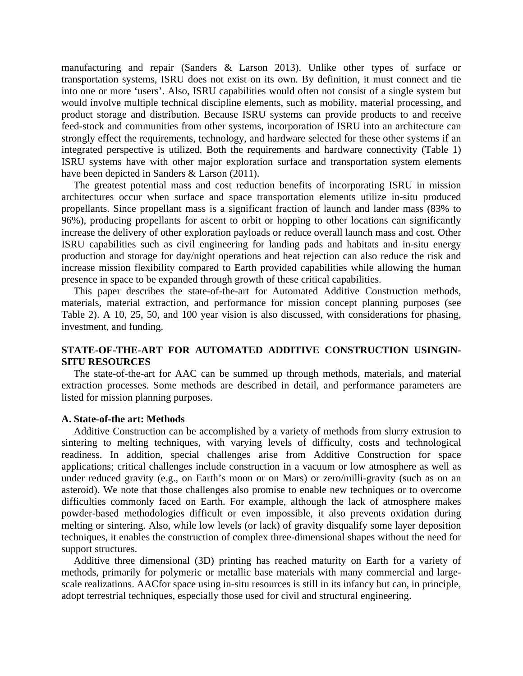manufacturing and repair (Sanders & Larson 2013). Unlike other types of surface or transportation systems, ISRU does not exist on its own. By definition, it must connect and tie into one or more 'users'. Also, ISRU capabilities would often not consist of a single system but would involve multiple technical discipline elements, such as mobility, material processing, and product storage and distribution. Because ISRU systems can provide products to and receive feed-stock and communities from other systems, incorporation of ISRU into an architecture can strongly effect the requirements, technology, and hardware selected for these other systems if an integrated perspective is utilized. Both the requirements and hardware connectivity (Table 1) ISRU systems have with other major exploration surface and transportation system elements have been depicted in Sanders & Larson (2011).

The greatest potential mass and cost reduction benefits of incorporating ISRU in mission architectures occur when surface and space transportation elements utilize in-situ produced propellants. Since propellant mass is a significant fraction of launch and lander mass (83% to 96%), producing propellants for ascent to orbit or hopping to other locations can significantly increase the delivery of other exploration payloads or reduce overall launch mass and cost. Other ISRU capabilities such as civil engineering for landing pads and habitats and in-situ energy production and storage for day/night operations and heat rejection can also reduce the risk and increase mission flexibility compared to Earth provided capabilities while allowing the human presence in space to be expanded through growth of these critical capabilities.

This paper describes the state-of-the-art for Automated Additive Construction methods, materials, material extraction, and performance for mission concept planning purposes (see Table 2). A 10, 25, 50, and 100 year vision is also discussed, with considerations for phasing, investment, and funding.

## **STATE-OF-THE-ART FOR AUTOMATED ADDITIVE CONSTRUCTION USINGIN-SITU RESOURCES**

The state-of-the-art for AAC can be summed up through methods, materials, and material extraction processes. Some methods are described in detail, and performance parameters are listed for mission planning purposes.

### **A. State-of-the art: Methods**

Additive Construction can be accomplished by a variety of methods from slurry extrusion to sintering to melting techniques, with varying levels of difficulty, costs and technological readiness. In addition, special challenges arise from Additive Construction for space applications; critical challenges include construction in a vacuum or low atmosphere as well as under reduced gravity (e.g., on Earth's moon or on Mars) or zero/milli-gravity (such as on an asteroid). We note that those challenges also promise to enable new techniques or to overcome difficulties commonly faced on Earth. For example, although the lack of atmosphere makes powder-based methodologies difficult or even impossible, it also prevents oxidation during melting or sintering. Also, while low levels (or lack) of gravity disqualify some layer deposition techniques, it enables the construction of complex three-dimensional shapes without the need for support structures.

Additive three dimensional (3D) printing has reached maturity on Earth for a variety of methods, primarily for polymeric or metallic base materials with many commercial and largescale realizations. AACfor space using in-situ resources is still in its infancy but can, in principle, adopt terrestrial techniques, especially those used for civil and structural engineering.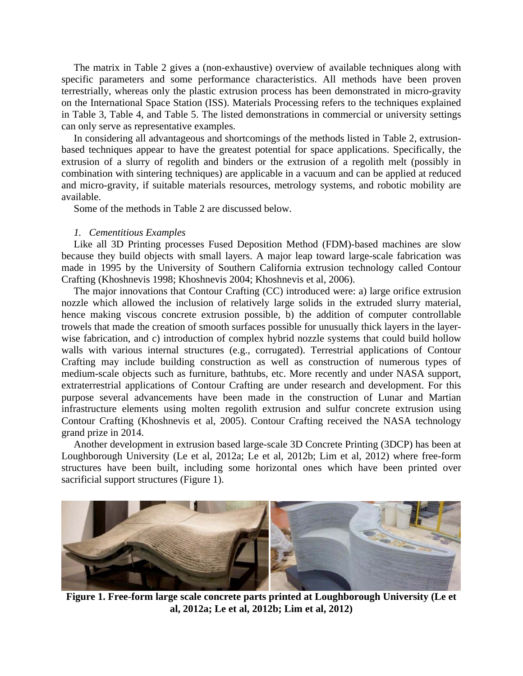The matrix in Table 2 gives a (non-exhaustive) overview of available techniques along with specific parameters and some performance characteristics. All methods have been proven terrestrially, whereas only the plastic extrusion process has been demonstrated in micro-gravity on the International Space Station (ISS). Materials Processing refers to the techniques explained in Table 3, Table 4, and Table 5. The listed demonstrations in commercial or university settings can only serve as representative examples.

In considering all advantageous and shortcomings of the methods listed in Table 2, extrusionbased techniques appear to have the greatest potential for space applications. Specifically, the extrusion of a slurry of regolith and binders or the extrusion of a regolith melt (possibly in combination with sintering techniques) are applicable in a vacuum and can be applied at reduced and micro-gravity, if suitable materials resources, metrology systems, and robotic mobility are available.

Some of the methods in Table 2 are discussed below.

#### *1. Cementitious Examples*

Like all 3D Printing processes Fused Deposition Method (FDM)-based machines are slow because they build objects with small layers. A major leap toward large-scale fabrication was made in 1995 by the University of Southern California extrusion technology called Contour Crafting (Khoshnevis 1998; Khoshnevis 2004; Khoshnevis et al, 2006).

The major innovations that Contour Crafting (CC) introduced were: a) large orifice extrusion nozzle which allowed the inclusion of relatively large solids in the extruded slurry material, hence making viscous concrete extrusion possible, b) the addition of computer controllable trowels that made the creation of smooth surfaces possible for unusually thick layers in the layerwise fabrication, and c) introduction of complex hybrid nozzle systems that could build hollow walls with various internal structures (e.g., corrugated). Terrestrial applications of Contour Crafting may include building construction as well as construction of numerous types of medium-scale objects such as furniture, bathtubs, etc. More recently and under NASA support, extraterrestrial applications of Contour Crafting are under research and development. For this purpose several advancements have been made in the construction of Lunar and Martian infrastructure elements using molten regolith extrusion and sulfur concrete extrusion using Contour Crafting (Khoshnevis et al, 2005). Contour Crafting received the NASA technology grand prize in 2014.

Another development in extrusion based large-scale 3D Concrete Printing (3DCP) has been at Loughborough University (Le et al, 2012a; Le et al, 2012b; Lim et al, 2012) where free-form structures have been built, including some horizontal ones which have been printed over sacrificial support structures (Figure 1).



**Figure 1. Free-form large scale concrete parts printed at Loughborough University (Le et al, 2012a; Le et al, 2012b; Lim et al, 2012)**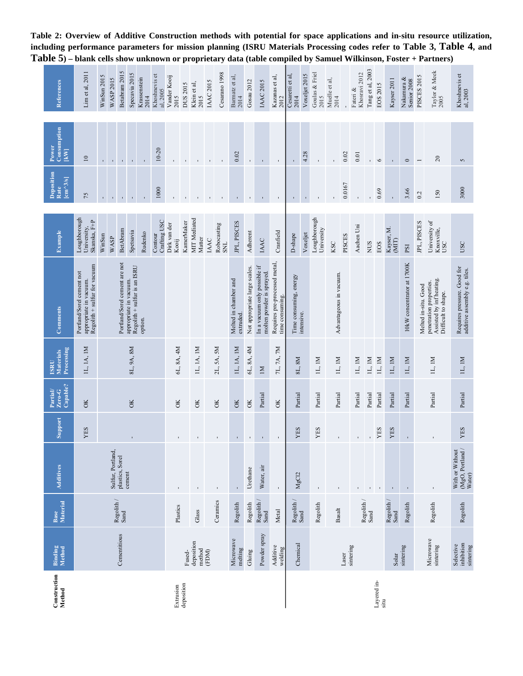| ible 5) – blank cells show unknown or proprietary data (table compiled by Samuel Wilkinson, Foster + Partners) |                                                                                     |              |                   |                               |                                                        |                      |                           |                       |            |                        |                  |                           |                                   |                               |                                                           |                                                 |                          |               |                                |                         |                  |                           |                  |                            |                        |                                      |                          |                                                                            |                                                                           |
|----------------------------------------------------------------------------------------------------------------|-------------------------------------------------------------------------------------|--------------|-------------------|-------------------------------|--------------------------------------------------------|----------------------|---------------------------|-----------------------|------------|------------------------|------------------|---------------------------|-----------------------------------|-------------------------------|-----------------------------------------------------------|-------------------------------------------------|--------------------------|---------------|--------------------------------|-------------------------|------------------|---------------------------|------------------|----------------------------|------------------------|--------------------------------------|--------------------------|----------------------------------------------------------------------------|---------------------------------------------------------------------------|
| References                                                                                                     | Lim et al, 2011                                                                     | WinSun 2015  | <b>WASP 2015</b>  | Betabram 2015                 | Specavia 2015                                          | Krassenstein<br>2014 | Khoshnevis et<br>al, 2005 | Vander Kooij<br>2015  | DUS 2015   | Klein et al,<br>2015   | <b>IAAC 2015</b> | Cesarano 1998             | Barmatz et al,<br>2014            | Gosau 2012                    | <b>IAAC 2015</b>                                          | Kazanas et al,<br>2012                          | Cesaretti et al,<br>2014 | Voxeljet 2015 | Goulas & Friel<br>2015         | Muelle et al,<br>2014   |                  | Khosravi 2012<br>Fateri & | Tang et al, 2003 | EOS 2015                   | Kayser 2011            | Nakamura $\&$<br>Senior 2008         | PISCES 2015              | Taylor & Meek<br>2005                                                      | Khoshnevis et<br>al, 2003                                                 |
| Consumption<br>Power<br>$\begin{bmatrix} \mathbf{k} \mathbf{W} \end{bmatrix}$                                  | $\overline{10}$                                                                     | $\mathbf{r}$ | $\mathbf{r}$      | $\mathbf{r}$                  | $\blacksquare$                                         | $\blacksquare$       | $10 - 20$                 | $\mathbf{I}$          |            |                        |                  |                           | 0.02                              | $\mathbf{r}$                  | $\mathbf{I}$                                              | $\blacksquare$                                  |                          | 4.28          | $\blacksquare$                 |                         | 0.02             | 0.01                      | $\mathbf{r}$     | $\circ$                    | $\blacksquare$         | $\circ$                              | $\overline{\phantom{0}}$ | 20                                                                         | 5                                                                         |
| Deposition<br>$[\text{cm} \wedge 3/\text{s}]$<br>Rate                                                          | 75                                                                                  | $\mathbf{I}$ | $\mathbf{r}$      | $\blacksquare$                | $\mathbf{I}$                                           |                      | 1000                      | $\blacksquare$        |            |                        |                  |                           |                                   | $\mathbf{r}$                  |                                                           | $\blacksquare$                                  |                          | $\mathbf{r}$  |                                |                         | 0.0167           |                           |                  | 0.69                       |                        | 3.66                                 | 0.2                      | 150                                                                        | 3000                                                                      |
| Example                                                                                                        | Loughborough<br>Skanska, F+P<br>University,                                         | WinSun       | WASP              | <b>BetAbram</b>               | Spetsavia                                              | Rudenko              | Crafting USC<br>Contour   | Dirk van der<br>Kooij | KamerMaker | MIT Mediated<br>Matter | <b>IAAC</b>      | Robocasting<br><b>TNS</b> | JPL, PISCES                       | Adherent                      | IAAC                                                      | Cranfield                                       | D-shape                  | Voxeljet      | Loughborough<br>University     | KSC                     | PISCES           | Aachen Uni                | <b>NUS</b>       | EOS                        | Kayser, M.<br>$(MT)$   | PSI                                  | JPL, PISCES              | University of<br>Knoxville,<br><b>USC</b>                                  | USC                                                                       |
| Comments                                                                                                       | Regolith + sulfur for vacuum<br>Portland/Sorel cement not<br>appropriate in vacuum. |              |                   | Portland/Sorel cement are not | Regolith + sulfur is an ISRU<br>appropriate in vacuum. | option.              |                           |                       |            |                        |                  |                           | Melted in chamber and<br>extruded | Not appropriate large scales. | In a vacuum only possible if<br>molten powder is sprayed. | Requires pre-processed metal,<br>time consuming | Time consuming, energy   | intensive.    |                                | Advantageous in vacuum. |                  |                           |                  |                            |                        | 10kW concentrator at 1700K           | Melted in-situ. Good     | Assisted by inf heating.<br>penetration properties.<br>Difficult to shape. | Requires pressure. Good for<br>additive assembly e.g. tiles.              |
| Processing<br><b>Materials</b><br><b>ISRU</b>                                                                  | 1L, 1A, 1M                                                                          |              |                   |                               | 8L, 9A, 8M                                             |                      |                           | 6L, 8A, 4M            |            | IL, 1A, 1M             |                  | 2L, 5A, 5M                | IL, 1A, 1M                        | $6L, 8A, 4M$                  | $\overline{\rm M}$                                        | 7L, 7A, 7M                                      | 8L, 8M                   |               | IL, 1M                         | IL, IM                  |                  | IL, IM                    | IL, IM           | $\mathsf{IL}, \mathsf{IM}$ | IL, IM                 | IL, IM                               |                          | $\mathsf{IL}, \mathsf{IM}$                                                 | IL, IM                                                                    |
| Capable?<br>Partial/<br>Zero-G                                                                                 | ě                                                                                   |              |                   |                               | OK                                                     |                      |                           | OK                    |            | OK.                    |                  | ОK                        | OK                                | ОK                            | Partial                                                   | ОK                                              | Partial                  |               | Partial                        | Partial                 |                  | Partial                   | Partial          | Partial                    | Partial                | Partial                              |                          | Partial                                                                    | Partial                                                                   |
| Support                                                                                                        | <b>SHI</b>                                                                          |              |                   |                               |                                                        |                      |                           |                       |            |                        |                  |                           |                                   |                               |                                                           |                                                 | <b>XES</b>               |               | <b>SHIA</b>                    |                         |                  |                           |                  | <b>XES</b>                 | YES                    |                                      |                          |                                                                            | <b>SHA</b>                                                                |
| <b>Additives</b>                                                                                               |                                                                                     |              | Sulfur, Portland, | plastics, Sorel<br>cement     |                                                        |                      |                           |                       |            |                        |                  |                           |                                   | Urethane                      | Water, air                                                | $\blacksquare$                                  | MgC <sub>12</sub>        |               | $\blacksquare$                 |                         |                  |                           |                  |                            | $\blacksquare$         | $\mathbf{I}$                         |                          |                                                                            | $(\mathrm{MgO}, \mathrm{Portland}\,/\,\mathrm{Water})$<br>With or Without |
| <b>Material</b><br>Base                                                                                        | ${\rm Regolith}\,/\,$ Sand                                                          |              |                   | Plastics                      |                                                        | Glass                |                           | Ceramics              | Regolith   | Regolith               | Regolith /       | Metal                     | Regolith /<br>Sand                |                               | Regolith                                                  | Basalt                                          |                          |               | $\mbox{Regolith}\, /$ S<br>and |                         | Regolith<br>Sand | Regolith                  |                  | Regolith                   | Regolith               |                                      |                          |                                                                            |                                                                           |
| <b>Binding</b><br>Method                                                                                       | Cementitious                                                                        |              |                   |                               |                                                        | Fused-               | deposition<br>method      | (FDM)                 |            | Microwave<br>melting   | Gluing           | Powder spray              | Additive<br>welding               | Chemical                      |                                                           |                                                 |                          | Laser         | sintering                      |                         |                  | Solar                     | sintering        |                            | Microwave<br>sintering | inhibition<br>Selective<br>sintering |                          |                                                                            |                                                                           |
| Construction<br>Method                                                                                         | deposition<br>Extrusion                                                             |              |                   |                               |                                                        |                      |                           |                       |            |                        |                  |                           |                                   |                               | Layered in-<br>sin                                        |                                                 |                          |               |                                |                         |                  |                           |                  |                            |                        |                                      |                          |                                                                            |                                                                           |

**Table 2: Overview of Additive Construction methods with potential for space applications and in-situ resource utilization, including performance parameters for mission planning (ISRU Materials Processing codes refer to Table 3, Table 4, and Table 5) – blank cells show unknown or proprietary data (table compiled by Samuel Wilkinson, Foster + Partners)**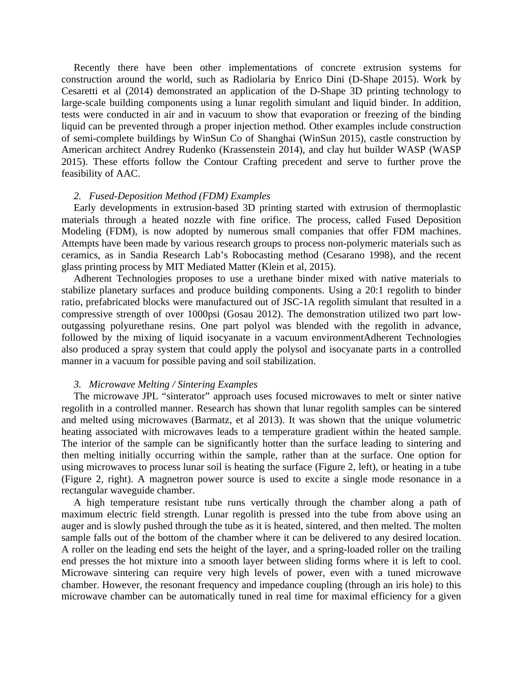Recently there have been other implementations of concrete extrusion systems for construction around the world, such as Radiolaria by Enrico Dini (D-Shape 2015). Work by Cesaretti et al (2014) demonstrated an application of the D-Shape 3D printing technology to large-scale building components using a lunar regolith simulant and liquid binder. In addition, tests were conducted in air and in vacuum to show that evaporation or freezing of the binding liquid can be prevented through a proper injection method. Other examples include construction of semi-complete buildings by WinSun Co of Shanghai (WinSun 2015), castle construction by American architect Andrey Rudenko (Krassenstein 2014), and clay hut builder WASP (WASP 2015). These efforts follow the Contour Crafting precedent and serve to further prove the feasibility of AAC.

## *2. Fused-Deposition Method (FDM) Examples*

Early developments in extrusion-based 3D printing started with extrusion of thermoplastic materials through a heated nozzle with fine orifice. The process, called Fused Deposition Modeling (FDM), is now adopted by numerous small companies that offer FDM machines. Attempts have been made by various research groups to process non-polymeric materials such as ceramics, as in Sandia Research Lab's Robocasting method (Cesarano 1998), and the recent glass printing process by MIT Mediated Matter (Klein et al, 2015).

Adherent Technologies proposes to use a urethane binder mixed with native materials to stabilize planetary surfaces and produce building components. Using a 20:1 regolith to binder ratio, prefabricated blocks were manufactured out of JSC-1A regolith simulant that resulted in a compressive strength of over 1000psi (Gosau 2012). The demonstration utilized two part lowoutgassing polyurethane resins. One part polyol was blended with the regolith in advance, followed by the mixing of liquid isocyanate in a vacuum environmentAdherent Technologies also produced a spray system that could apply the polysol and isocyanate parts in a controlled manner in a vacuum for possible paving and soil stabilization.

## *3. Microwave Melting / Sintering Examples*

The microwave JPL "sinterator" approach uses focused microwaves to melt or sinter native regolith in a controlled manner. Research has shown that lunar regolith samples can be sintered and melted using microwaves (Barmatz, et al 2013). It was shown that the unique volumetric heating associated with microwaves leads to a temperature gradient within the heated sample. The interior of the sample can be significantly hotter than the surface leading to sintering and then melting initially occurring within the sample, rather than at the surface. One option for using microwaves to process lunar soil is heating the surface (Figure 2, left), or heating in a tube (Figure 2, right). A magnetron power source is used to excite a single mode resonance in a rectangular waveguide chamber.

A high temperature resistant tube runs vertically through the chamber along a path of maximum electric field strength. Lunar regolith is pressed into the tube from above using an auger and is slowly pushed through the tube as it is heated, sintered, and then melted. The molten sample falls out of the bottom of the chamber where it can be delivered to any desired location. A roller on the leading end sets the height of the layer, and a spring-loaded roller on the trailing end presses the hot mixture into a smooth layer between sliding forms where it is left to cool. Microwave sintering can require very high levels of power, even with a tuned microwave chamber. However, the resonant frequency and impedance coupling (through an iris hole) to this microwave chamber can be automatically tuned in real time for maximal efficiency for a given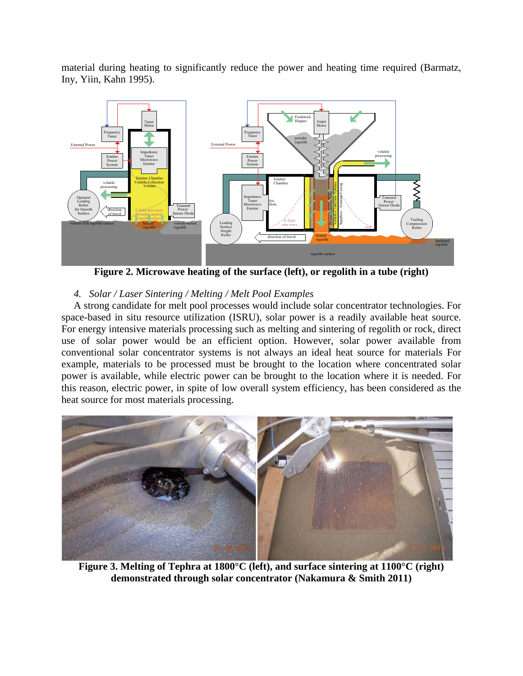material during heating to significantly reduce the power and heating time required (Barmatz, Iny, Yiin, Kahn 1995).



**Figure 2. Microwave heating of the surface (left), or regolith in a tube (right)** 

# *4. Solar / Laser Sintering / Melting / Melt Pool Examples*

A strong candidate for melt pool processes would include solar concentrator technologies. For space-based in situ resource utilization (ISRU), solar power is a readily available heat source. For energy intensive materials processing such as melting and sintering of regolith or rock, direct use of solar power would be an efficient option. However, solar power available from conventional solar concentrator systems is not always an ideal heat source for materials For example, materials to be processed must be brought to the location where concentrated solar power is available, while electric power can be brought to the location where it is needed. For this reason, electric power, in spite of low overall system efficiency, has been considered as the heat source for most materials processing.



**Figure 3. Melting of Tephra at 1800°C (left), and surface sintering at 1100°C (right) demonstrated through solar concentrator (Nakamura & Smith 2011)**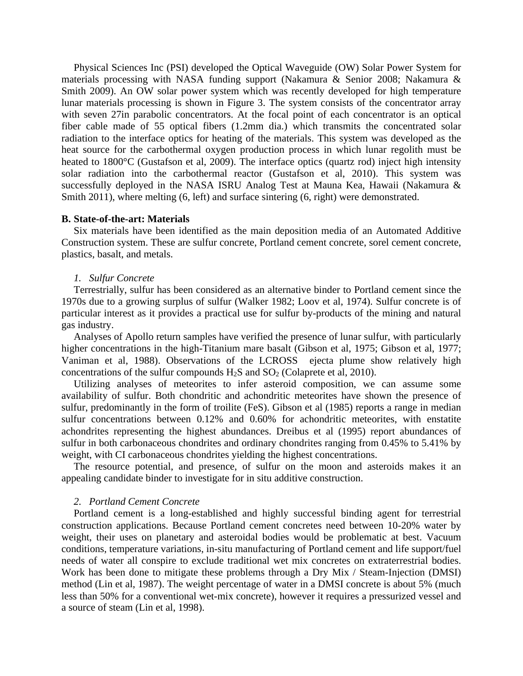Physical Sciences Inc (PSI) developed the Optical Waveguide (OW) Solar Power System for materials processing with NASA funding support (Nakamura & Senior 2008; Nakamura & Smith 2009). An OW solar power system which was recently developed for high temperature lunar materials processing is shown in Figure 3. The system consists of the concentrator array with seven 27in parabolic concentrators. At the focal point of each concentrator is an optical fiber cable made of 55 optical fibers (1.2mm dia.) which transmits the concentrated solar radiation to the interface optics for heating of the materials. This system was developed as the heat source for the carbothermal oxygen production process in which lunar regolith must be heated to 1800°C (Gustafson et al, 2009). The interface optics (quartz rod) inject high intensity solar radiation into the carbothermal reactor (Gustafson et al, 2010). This system was successfully deployed in the NASA ISRU Analog Test at Mauna Kea, Hawaii (Nakamura & Smith 2011), where melting  $(6, left)$  and surface sintering  $(6, right)$  were demonstrated.

### **B. State-of-the-art: Materials**

Six materials have been identified as the main deposition media of an Automated Additive Construction system. These are sulfur concrete, Portland cement concrete, sorel cement concrete, plastics, basalt, and metals.

## *1. Sulfur Concrete*

Terrestrially, sulfur has been considered as an alternative binder to Portland cement since the 1970s due to a growing surplus of sulfur (Walker 1982; Loov et al, 1974). Sulfur concrete is of particular interest as it provides a practical use for sulfur by-products of the mining and natural gas industry.

Analyses of Apollo return samples have verified the presence of lunar sulfur, with particularly higher concentrations in the high-Titanium mare basalt (Gibson et al, 1975; Gibson et al, 1977; Vaniman et al, 1988). Observations of the LCROSS ejecta plume show relatively high concentrations of the sulfur compounds  $H_2S$  and  $SO_2$  (Colaprete et al, 2010).

Utilizing analyses of meteorites to infer asteroid composition, we can assume some availability of sulfur. Both chondritic and achondritic meteorites have shown the presence of sulfur, predominantly in the form of troilite (FeS). Gibson et al (1985) reports a range in median sulfur concentrations between 0.12% and 0.60% for achondritic meteorites, with enstatite achondrites representing the highest abundances. Dreibus et al (1995) report abundances of sulfur in both carbonaceous chondrites and ordinary chondrites ranging from 0.45% to 5.41% by weight, with CI carbonaceous chondrites yielding the highest concentrations.

The resource potential, and presence, of sulfur on the moon and asteroids makes it an appealing candidate binder to investigate for in situ additive construction.

### *2. Portland Cement Concrete*

Portland cement is a long-established and highly successful binding agent for terrestrial construction applications. Because Portland cement concretes need between 10-20% water by weight, their uses on planetary and asteroidal bodies would be problematic at best. Vacuum conditions, temperature variations, in-situ manufacturing of Portland cement and life support/fuel needs of water all conspire to exclude traditional wet mix concretes on extraterrestrial bodies. Work has been done to mitigate these problems through a Dry Mix / Steam-Injection (DMSI) method (Lin et al, 1987). The weight percentage of water in a DMSI concrete is about 5% (much less than 50% for a conventional wet-mix concrete), however it requires a pressurized vessel and a source of steam (Lin et al, 1998).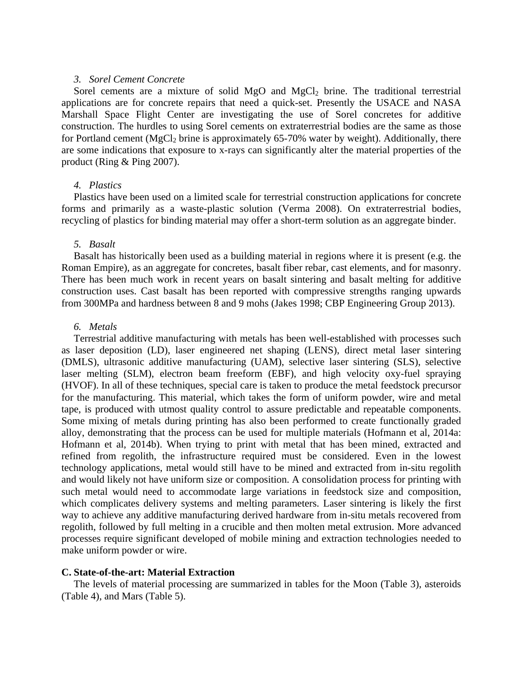## *3. Sorel Cement Concrete*

Sorel cements are a mixture of solid MgO and  $MgCl<sub>2</sub>$  brine. The traditional terrestrial applications are for concrete repairs that need a quick-set. Presently the USACE and NASA Marshall Space Flight Center are investigating the use of Sorel concretes for additive construction. The hurdles to using Sorel cements on extraterrestrial bodies are the same as those for Portland cement  $(MgCl<sub>2</sub>$  brine is approximately 65-70% water by weight). Additionally, there are some indications that exposure to x-rays can significantly alter the material properties of the product (Ring & Ping 2007).

## *4. Plastics*

Plastics have been used on a limited scale for terrestrial construction applications for concrete forms and primarily as a waste-plastic solution (Verma 2008). On extraterrestrial bodies, recycling of plastics for binding material may offer a short-term solution as an aggregate binder.

#### *5. Basalt*

Basalt has historically been used as a building material in regions where it is present (e.g. the Roman Empire), as an aggregate for concretes, basalt fiber rebar, cast elements, and for masonry. There has been much work in recent years on basalt sintering and basalt melting for additive construction uses. Cast basalt has been reported with compressive strengths ranging upwards from 300MPa and hardness between 8 and 9 mohs (Jakes 1998; CBP Engineering Group 2013).

#### *6. Metals*

Terrestrial additive manufacturing with metals has been well-established with processes such as laser deposition (LD), laser engineered net shaping (LENS), direct metal laser sintering (DMLS), ultrasonic additive manufacturing (UAM), selective laser sintering (SLS), selective laser melting (SLM), electron beam freeform (EBF), and high velocity oxy-fuel spraying (HVOF). In all of these techniques, special care is taken to produce the metal feedstock precursor for the manufacturing. This material, which takes the form of uniform powder, wire and metal tape, is produced with utmost quality control to assure predictable and repeatable components. Some mixing of metals during printing has also been performed to create functionally graded alloy, demonstrating that the process can be used for multiple materials (Hofmann et al, 2014a: Hofmann et al, 2014b). When trying to print with metal that has been mined, extracted and refined from regolith, the infrastructure required must be considered. Even in the lowest technology applications, metal would still have to be mined and extracted from in-situ regolith and would likely not have uniform size or composition. A consolidation process for printing with such metal would need to accommodate large variations in feedstock size and composition, which complicates delivery systems and melting parameters. Laser sintering is likely the first way to achieve any additive manufacturing derived hardware from in-situ metals recovered from regolith, followed by full melting in a crucible and then molten metal extrusion. More advanced processes require significant developed of mobile mining and extraction technologies needed to make uniform powder or wire.

## **C. State-of-the-art: Material Extraction**

The levels of material processing are summarized in tables for the Moon (Table 3), asteroids (Table 4), and Mars (Table 5).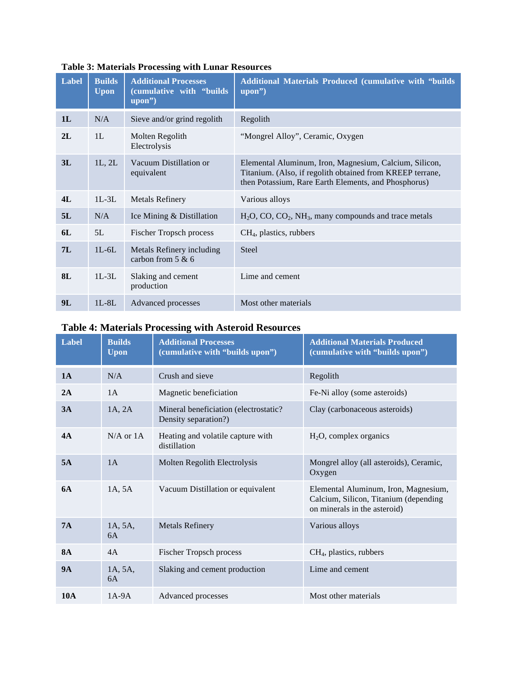| <b>Label</b> | <b>Builds</b><br><b>Upon</b> | <b>Additional Processes</b><br>(cumulative with "builds"<br>upon") | <b>Additional Materials Produced (cumulative with "builds</b><br>upon")                                                                                                     |
|--------------|------------------------------|--------------------------------------------------------------------|-----------------------------------------------------------------------------------------------------------------------------------------------------------------------------|
| 1L           | N/A                          | Sieve and/or grind regolith                                        | Regolith                                                                                                                                                                    |
| 2L           | 1L                           | Molten Regolith<br>Electrolysis                                    | "Mongrel Alloy", Ceramic, Oxygen                                                                                                                                            |
| 3L           | 1L, 2L                       | Vacuum Distillation or<br>equivalent                               | Elemental Aluminum, Iron, Magnesium, Calcium, Silicon,<br>Titanium. (Also, if regolith obtained from KREEP terrane,<br>then Potassium, Rare Earth Elements, and Phosphorus) |
| 4L           | $1L-3L$                      | <b>Metals Refinery</b>                                             | Various alloys                                                                                                                                                              |
| 5L           | N/A                          | Ice Mining & Distillation                                          | $H_2O$ , CO, CO <sub>2</sub> , NH <sub>3</sub> , many compounds and trace metals                                                                                            |
| 6L           | 5L                           | <b>Fischer Tropsch process</b>                                     | $CH4$ , plastics, rubbers                                                                                                                                                   |
| 7L           | $1L-6L$                      | Metals Refinery including<br>carbon from $5 & 6$                   | <b>Steel</b>                                                                                                                                                                |
| <b>8L</b>    | $1L-3L$                      | Slaking and cement<br>production                                   | Lime and cement                                                                                                                                                             |
| 9L           | $1L-8L$                      | Advanced processes                                                 | Most other materials                                                                                                                                                        |

# **Table 3: Materials Processing with Lunar Resources**

# **Table 4: Materials Processing with Asteroid Resources**

| Label      | <b>Builds</b><br><b>Upon</b> | <b>Additional Processes</b><br>(cumulative with "builds upon") | <b>Additional Materials Produced</b><br>(cumulative with "builds upon")                                       |
|------------|------------------------------|----------------------------------------------------------------|---------------------------------------------------------------------------------------------------------------|
| 1A         | N/A                          | Crush and sieve                                                | Regolith                                                                                                      |
| 2A         | 1A                           | Magnetic beneficiation                                         | Fe-Ni alloy (some asteroids)                                                                                  |
| 3A         | 1A, 2A                       | Mineral beneficiation (electrostatic?<br>Density separation?)  | Clay (carbonaceous asteroids)                                                                                 |
| 4A         | $N/A$ or $1A$                | Heating and volatile capture with<br>distillation              | $H_2O$ , complex organics                                                                                     |
| 5A         | 1A                           | Molten Regolith Electrolysis                                   | Mongrel alloy (all asteroids), Ceramic,<br>Oxygen                                                             |
| <b>6A</b>  | 1A, 5A                       | Vacuum Distillation or equivalent                              | Elemental Aluminum, Iron, Magnesium,<br>Calcium, Silicon, Titanium (depending<br>on minerals in the asteroid) |
| 7A         | 1A, 5A,<br>6A                | <b>Metals Refinery</b>                                         | Various alloys                                                                                                |
| <b>8A</b>  | 4A                           | <b>Fischer Tropsch process</b>                                 | CH <sub>4</sub> , plastics, rubbers                                                                           |
| <b>9A</b>  | 1A, 5A,<br>6A                | Slaking and cement production                                  | Lime and cement                                                                                               |
| <b>10A</b> | $1A-9A$                      | Advanced processes                                             | Most other materials                                                                                          |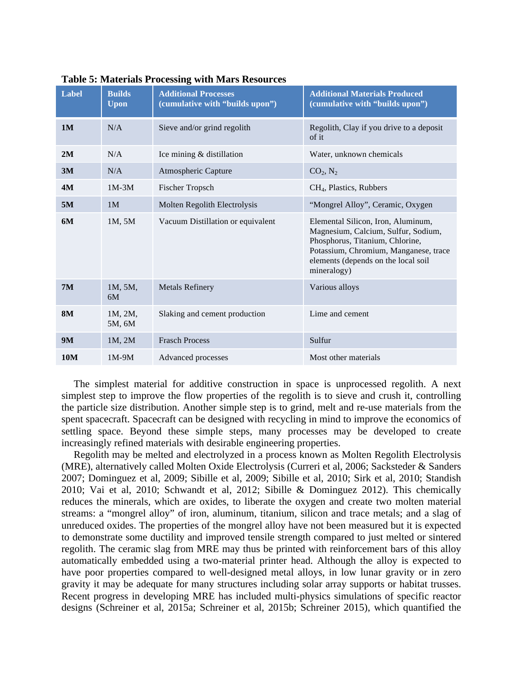|                |                              | $\sum_{i=1}^{n}$                                               |                                                                                                                                                                                                             |
|----------------|------------------------------|----------------------------------------------------------------|-------------------------------------------------------------------------------------------------------------------------------------------------------------------------------------------------------------|
| <b>Label</b>   | <b>Builds</b><br><b>Upon</b> | <b>Additional Processes</b><br>(cumulative with "builds upon") | <b>Additional Materials Produced</b><br>(cumulative with "builds upon")                                                                                                                                     |
| 1 <sub>M</sub> | N/A                          | Sieve and/or grind regolith                                    | Regolith, Clay if you drive to a deposit<br>of it                                                                                                                                                           |
| 2M             | N/A                          | Ice mining & distillation                                      | Water, unknown chemicals                                                                                                                                                                                    |
| 3M             | N/A                          | Atmospheric Capture                                            | CO <sub>2</sub> , N <sub>2</sub>                                                                                                                                                                            |
| 4M             | $1M-3M$                      | Fischer Tropsch                                                | CH <sub>4</sub> , Plastics, Rubbers                                                                                                                                                                         |
| 5M             | 1M                           | Molten Regolith Electrolysis                                   | "Mongrel Alloy", Ceramic, Oxygen                                                                                                                                                                            |
| 6M             | 1M, 5M                       | Vacuum Distillation or equivalent                              | Elemental Silicon, Iron, Aluminum,<br>Magnesium, Calcium, Sulfur, Sodium,<br>Phosphorus, Titanium, Chlorine,<br>Potassium, Chromium, Manganese, trace<br>elements (depends on the local soil<br>mineralogy) |
| 7M             | 1M, 5M,<br>6M                | <b>Metals Refinery</b>                                         | Various alloys                                                                                                                                                                                              |
| <b>8M</b>      | 1M, 2M,<br>5M, 6M            | Slaking and cement production                                  | Lime and cement                                                                                                                                                                                             |
| <b>9M</b>      | 1M, 2M                       | <b>Frasch Process</b>                                          | Sulfur                                                                                                                                                                                                      |
| 10M            | $1M-9M$                      | Advanced processes                                             | Most other materials                                                                                                                                                                                        |

**Table 5: Materials Processing with Mars Resources** 

The simplest material for additive construction in space is unprocessed regolith. A next simplest step to improve the flow properties of the regolith is to sieve and crush it, controlling the particle size distribution. Another simple step is to grind, melt and re-use materials from the spent spacecraft. Spacecraft can be designed with recycling in mind to improve the economics of settling space. Beyond these simple steps, many processes may be developed to create increasingly refined materials with desirable engineering properties.

Regolith may be melted and electrolyzed in a process known as Molten Regolith Electrolysis (MRE), alternatively called Molten Oxide Electrolysis (Curreri et al, 2006; Sacksteder & Sanders 2007; Dominguez et al, 2009; Sibille et al, 2009; Sibille et al, 2010; Sirk et al, 2010; Standish 2010; Vai et al, 2010; Schwandt et al, 2012; Sibille & Dominguez 2012). This chemically reduces the minerals, which are oxides, to liberate the oxygen and create two molten material streams: a "mongrel alloy" of iron, aluminum, titanium, silicon and trace metals; and a slag of unreduced oxides. The properties of the mongrel alloy have not been measured but it is expected to demonstrate some ductility and improved tensile strength compared to just melted or sintered regolith. The ceramic slag from MRE may thus be printed with reinforcement bars of this alloy automatically embedded using a two-material printer head. Although the alloy is expected to have poor properties compared to well-designed metal alloys, in low lunar gravity or in zero gravity it may be adequate for many structures including solar array supports or habitat trusses. Recent progress in developing MRE has included multi-physics simulations of specific reactor designs (Schreiner et al, 2015a; Schreiner et al, 2015b; Schreiner 2015), which quantified the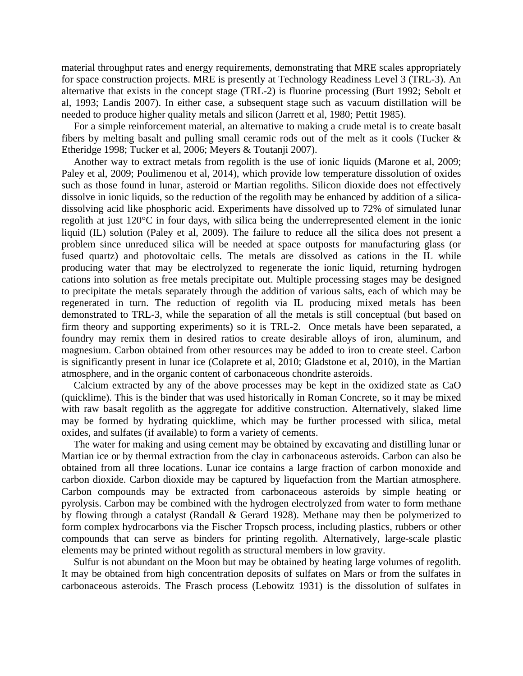material throughput rates and energy requirements, demonstrating that MRE scales appropriately for space construction projects. MRE is presently at Technology Readiness Level 3 (TRL-3). An alternative that exists in the concept stage (TRL-2) is fluorine processing (Burt 1992; Sebolt et al, 1993; Landis 2007). In either case, a subsequent stage such as vacuum distillation will be needed to produce higher quality metals and silicon (Jarrett et al, 1980; Pettit 1985).

For a simple reinforcement material, an alternative to making a crude metal is to create basalt fibers by melting basalt and pulling small ceramic rods out of the melt as it cools (Tucker & Etheridge 1998; Tucker et al, 2006; Meyers & Toutanji 2007).

Another way to extract metals from regolith is the use of ionic liquids (Marone et al, 2009; Paley et al, 2009; Poulimenou et al, 2014), which provide low temperature dissolution of oxides such as those found in lunar, asteroid or Martian regoliths. Silicon dioxide does not effectively dissolve in ionic liquids, so the reduction of the regolith may be enhanced by addition of a silicadissolving acid like phosphoric acid. Experiments have dissolved up to 72% of simulated lunar regolith at just 120°C in four days, with silica being the underrepresented element in the ionic liquid (IL) solution (Paley et al, 2009). The failure to reduce all the silica does not present a problem since unreduced silica will be needed at space outposts for manufacturing glass (or fused quartz) and photovoltaic cells. The metals are dissolved as cations in the IL while producing water that may be electrolyzed to regenerate the ionic liquid, returning hydrogen cations into solution as free metals precipitate out. Multiple processing stages may be designed to precipitate the metals separately through the addition of various salts, each of which may be regenerated in turn. The reduction of regolith via IL producing mixed metals has been demonstrated to TRL-3, while the separation of all the metals is still conceptual (but based on firm theory and supporting experiments) so it is TRL-2. Once metals have been separated, a foundry may remix them in desired ratios to create desirable alloys of iron, aluminum, and magnesium. Carbon obtained from other resources may be added to iron to create steel. Carbon is significantly present in lunar ice (Colaprete et al, 2010; Gladstone et al, 2010), in the Martian atmosphere, and in the organic content of carbonaceous chondrite asteroids.

Calcium extracted by any of the above processes may be kept in the oxidized state as CaO (quicklime). This is the binder that was used historically in Roman Concrete, so it may be mixed with raw basalt regolith as the aggregate for additive construction. Alternatively, slaked lime may be formed by hydrating quicklime, which may be further processed with silica, metal oxides, and sulfates (if available) to form a variety of cements.

The water for making and using cement may be obtained by excavating and distilling lunar or Martian ice or by thermal extraction from the clay in carbonaceous asteroids. Carbon can also be obtained from all three locations. Lunar ice contains a large fraction of carbon monoxide and carbon dioxide. Carbon dioxide may be captured by liquefaction from the Martian atmosphere. Carbon compounds may be extracted from carbonaceous asteroids by simple heating or pyrolysis. Carbon may be combined with the hydrogen electrolyzed from water to form methane by flowing through a catalyst (Randall & Gerard 1928). Methane may then be polymerized to form complex hydrocarbons via the Fischer Tropsch process, including plastics, rubbers or other compounds that can serve as binders for printing regolith. Alternatively, large-scale plastic elements may be printed without regolith as structural members in low gravity.

Sulfur is not abundant on the Moon but may be obtained by heating large volumes of regolith. It may be obtained from high concentration deposits of sulfates on Mars or from the sulfates in carbonaceous asteroids. The Frasch process (Lebowitz 1931) is the dissolution of sulfates in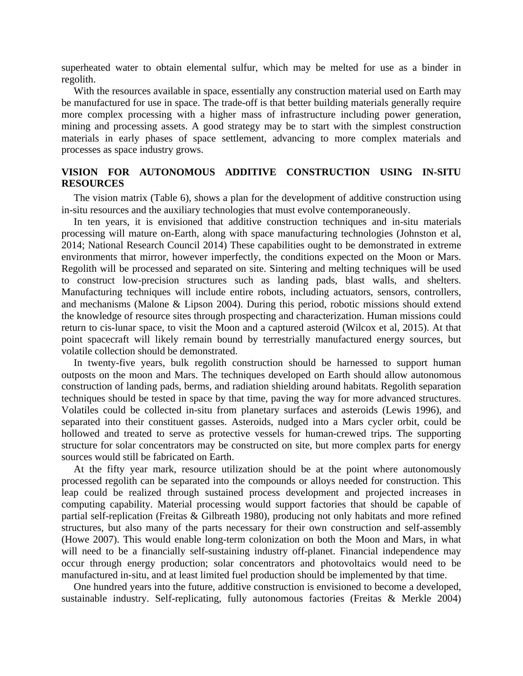superheated water to obtain elemental sulfur, which may be melted for use as a binder in regolith.

With the resources available in space, essentially any construction material used on Earth may be manufactured for use in space. The trade-off is that better building materials generally require more complex processing with a higher mass of infrastructure including power generation, mining and processing assets. A good strategy may be to start with the simplest construction materials in early phases of space settlement, advancing to more complex materials and processes as space industry grows.

# **VISION FOR AUTONOMOUS ADDITIVE CONSTRUCTION USING IN-SITU RESOURCES**

The vision matrix (Table 6), shows a plan for the development of additive construction using in-situ resources and the auxiliary technologies that must evolve contemporaneously.

In ten years, it is envisioned that additive construction techniques and in-situ materials processing will mature on-Earth, along with space manufacturing technologies (Johnston et al, 2014; National Research Council 2014) These capabilities ought to be demonstrated in extreme environments that mirror, however imperfectly, the conditions expected on the Moon or Mars. Regolith will be processed and separated on site. Sintering and melting techniques will be used to construct low-precision structures such as landing pads, blast walls, and shelters. Manufacturing techniques will include entire robots, including actuators, sensors, controllers, and mechanisms (Malone & Lipson 2004). During this period, robotic missions should extend the knowledge of resource sites through prospecting and characterization. Human missions could return to cis-lunar space, to visit the Moon and a captured asteroid (Wilcox et al, 2015). At that point spacecraft will likely remain bound by terrestrially manufactured energy sources, but volatile collection should be demonstrated.

In twenty-five years, bulk regolith construction should be harnessed to support human outposts on the moon and Mars. The techniques developed on Earth should allow autonomous construction of landing pads, berms, and radiation shielding around habitats. Regolith separation techniques should be tested in space by that time, paving the way for more advanced structures. Volatiles could be collected in-situ from planetary surfaces and asteroids (Lewis 1996), and separated into their constituent gasses. Asteroids, nudged into a Mars cycler orbit, could be hollowed and treated to serve as protective vessels for human-crewed trips. The supporting structure for solar concentrators may be constructed on site, but more complex parts for energy sources would still be fabricated on Earth.

At the fifty year mark, resource utilization should be at the point where autonomously processed regolith can be separated into the compounds or alloys needed for construction. This leap could be realized through sustained process development and projected increases in computing capability. Material processing would support factories that should be capable of partial self-replication (Freitas & Gilbreath 1980), producing not only habitats and more refined structures, but also many of the parts necessary for their own construction and self-assembly (Howe 2007). This would enable long-term colonization on both the Moon and Mars, in what will need to be a financially self-sustaining industry off-planet. Financial independence may occur through energy production; solar concentrators and photovoltaics would need to be manufactured in-situ, and at least limited fuel production should be implemented by that time.

One hundred years into the future, additive construction is envisioned to become a developed, sustainable industry. Self-replicating, fully autonomous factories (Freitas & Merkle 2004)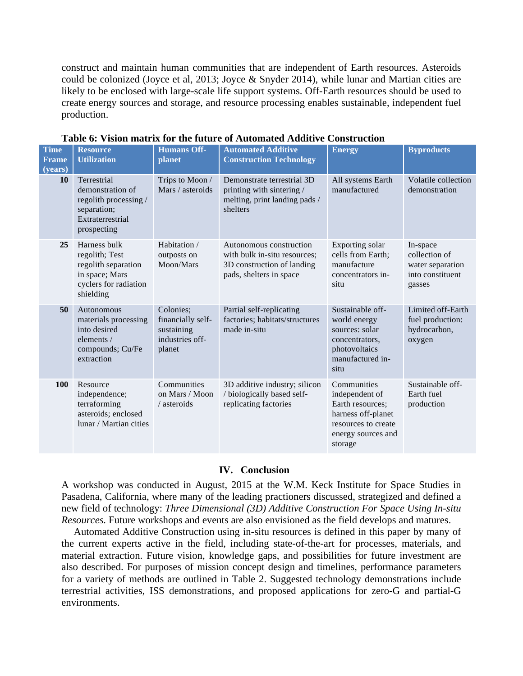construct and maintain human communities that are independent of Earth resources. Asteroids could be colonized (Joyce et al, 2013; Joyce & Snyder 2014), while lunar and Martian cities are likely to be enclosed with large-scale life support systems. Off-Earth resources should be used to create energy sources and storage, and resource processing enables sustainable, independent fuel production.

| <b>Time</b><br><b>Frame</b><br>(years) | <b>Resource</b><br><b>Utilization</b>                                                                         | <b>Humans Off-</b><br>planet                                              | <b>Automated Additive</b><br><b>Construction Technology</b>                                                      | <b>Energy</b>                                                                                                                   | <b>Byproducts</b>                                                           |
|----------------------------------------|---------------------------------------------------------------------------------------------------------------|---------------------------------------------------------------------------|------------------------------------------------------------------------------------------------------------------|---------------------------------------------------------------------------------------------------------------------------------|-----------------------------------------------------------------------------|
| 10                                     | Terrestrial<br>demonstration of<br>regolith processing /<br>separation;<br>Extraterrestrial<br>prospecting    | Trips to Moon /<br>Mars / asteroids                                       | Demonstrate terrestrial 3D<br>printing with sintering /<br>melting, print landing pads /<br>shelters             | All systems Earth<br>manufactured                                                                                               | Volatile collection<br>demonstration                                        |
| 25                                     | Harness bulk<br>regolith; Test<br>regolith separation<br>in space; Mars<br>cyclers for radiation<br>shielding | Habitation /<br>outposts on<br>Moon/Mars                                  | Autonomous construction<br>with bulk in-situ resources;<br>3D construction of landing<br>pads, shelters in space | Exporting solar<br>cells from Earth;<br>manufacture<br>concentrators in-<br>situ                                                | In-space<br>collection of<br>water separation<br>into constituent<br>gasses |
| 50                                     | Autonomous<br>materials processing<br>into desired<br>elements /<br>compounds; Cu/Fe<br>extraction            | Colonies;<br>financially self-<br>sustaining<br>industries off-<br>planet | Partial self-replicating<br>factories; habitats/structures<br>made in-situ                                       | Sustainable off-<br>world energy<br>sources: solar<br>concentrators,<br>photovoltaics<br>manufactured in-<br>situ               | Limited off-Earth<br>fuel production:<br>hydrocarbon,<br>oxygen             |
| 100                                    | Resource<br>independence;<br>terraforming<br>asteroids; enclosed<br>lunar / Martian cities                    | Communities<br>on Mars / Moon<br>/ asteroids                              | 3D additive industry; silicon<br>/ biologically based self-<br>replicating factories                             | Communities<br>independent of<br>Earth resources;<br>harness off-planet<br>resources to create<br>energy sources and<br>storage | Sustainable off-<br>Earth fuel<br>production                                |

**Table 6: Vision matrix for the future of Automated Additive Construction** 

## **IV. Conclusion**

A workshop was conducted in August, 2015 at the W.M. Keck Institute for Space Studies in Pasadena, California, where many of the leading practioners discussed, strategized and defined a new field of technology: *Three Dimensional (3D) Additive Construction For Space Using In-situ Resources.* Future workshops and events are also envisioned as the field develops and matures.

Automated Additive Construction using in-situ resources is defined in this paper by many of the current experts active in the field, including state-of-the-art for processes, materials, and material extraction. Future vision, knowledge gaps, and possibilities for future investment are also described. For purposes of mission concept design and timelines, performance parameters for a variety of methods are outlined in Table 2. Suggested technology demonstrations include terrestrial activities, ISS demonstrations, and proposed applications for zero-G and partial-G environments.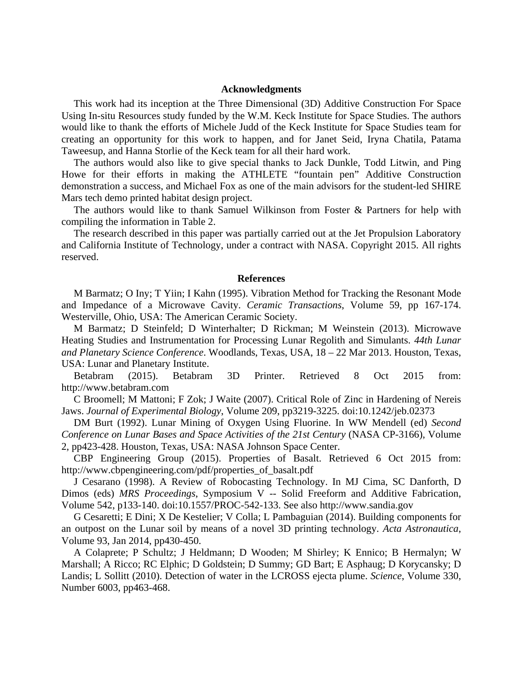### **Acknowledgments**

This work had its inception at the Three Dimensional (3D) Additive Construction For Space Using In-situ Resources study funded by the W.M. Keck Institute for Space Studies. The authors would like to thank the efforts of Michele Judd of the Keck Institute for Space Studies team for creating an opportunity for this work to happen, and for Janet Seid, Iryna Chatila, Patama Taweesup, and Hanna Storlie of the Keck team for all their hard work.

The authors would also like to give special thanks to Jack Dunkle, Todd Litwin, and Ping Howe for their efforts in making the ATHLETE "fountain pen" Additive Construction demonstration a success, and Michael Fox as one of the main advisors for the student-led SHIRE Mars tech demo printed habitat design project.

The authors would like to thank Samuel Wilkinson from Foster & Partners for help with compiling the information in Table 2.

The research described in this paper was partially carried out at the Jet Propulsion Laboratory and California Institute of Technology, under a contract with NASA. Copyright 2015. All rights reserved.

#### **References**

M Barmatz; O Iny; T Yiin; I Kahn (1995). Vibration Method for Tracking the Resonant Mode and Impedance of a Microwave Cavity. *Ceramic Transactions*, Volume 59, pp 167-174. Westerville, Ohio, USA: The American Ceramic Society.

M Barmatz; D Steinfeld; D Winterhalter; D Rickman; M Weinstein (2013). Microwave Heating Studies and Instrumentation for Processing Lunar Regolith and Simulants. *44th Lunar and Planetary Science Conference*. Woodlands, Texas, USA, 18 – 22 Mar 2013. Houston, Texas, USA: Lunar and Planetary Institute.

Betabram (2015). Betabram 3D Printer. Retrieved 8 Oct 2015 from: http://www.betabram.com

C Broomell; M Mattoni; F Zok; J Waite (2007). Critical Role of Zinc in Hardening of Nereis Jaws. *Journal of Experimental Biology*, Volume 209, pp3219-3225. doi:10.1242/jeb.02373

DM Burt (1992). Lunar Mining of Oxygen Using Fluorine. In WW Mendell (ed) *Second Conference on Lunar Bases and Space Activities of the 21st Century* (NASA CP-3166), Volume 2, pp423-428. Houston, Texas, USA: NASA Johnson Space Center.

CBP Engineering Group (2015). Properties of Basalt. Retrieved 6 Oct 2015 from: http://www.cbpengineering.com/pdf/properties\_of\_basalt.pdf

J Cesarano (1998). A Review of Robocasting Technology. In MJ Cima, SC Danforth, D Dimos (eds) *MRS Proceedings*, Symposium V -- Solid Freeform and Additive Fabrication, Volume 542, p133-140. doi:10.1557/PROC-542-133. See also http://www.sandia.gov

G Cesaretti; E Dini; X De Kestelier; V Colla; L Pambaguian (2014). Building components for an outpost on the Lunar soil by means of a novel 3D printing technology. *Acta Astronautica*, Volume 93, Jan 2014, pp430-450.

A Colaprete; P Schultz; J Heldmann; D Wooden; M Shirley; K Ennico; B Hermalyn; W Marshall; A Ricco; RC Elphic; D Goldstein; D Summy; GD Bart; E Asphaug; D Korycansky; D Landis; L Sollitt (2010). Detection of water in the LCROSS ejecta plume. *Science*, Volume 330, Number 6003, pp463-468.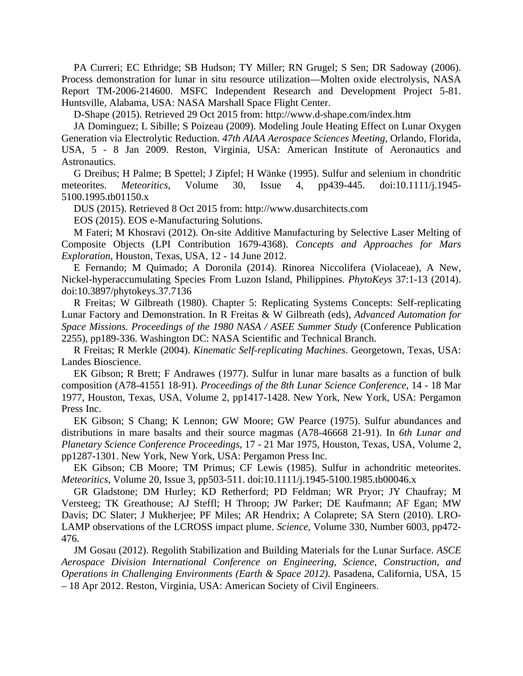PA Curreri; EC Ethridge; SB Hudson; TY Miller; RN Grugel; S Sen; DR Sadoway (2006). Process demonstration for lunar in situ resource utilization—Molten oxide electrolysis, NASA Report TM-2006-214600. MSFC Independent Research and Development Project 5-81. Huntsville, Alabama, USA: NASA Marshall Space Flight Center.

D-Shape (2015). Retrieved 29 Oct 2015 from: http://www.d-shape.com/index.htm

JA Dominguez; L Sibille; S Poizeau (2009). Modeling Joule Heating Effect on Lunar Oxygen Generation via Electrolytic Reduction. *47th AIAA Aerospace Sciences Meeting*, Orlando, Florida, USA, 5 - 8 Jan 2009. Reston, Virginia, USA: American Institute of Aeronautics and Astronautics.

G Dreibus; H Palme; B Spettel; J Zipfel; H Wänke (1995). Sulfur and selenium in chondritic meteorites. *Meteoritics*, Volume 30, Issue 4, pp439-445. doi:10.1111/j.1945- 5100.1995.tb01150.x

DUS (2015). Retrieved 8 Oct 2015 from: http://www.dusarchitects.com

EOS (2015). EOS e-Manufacturing Solutions.

M Fateri; M Khosravi (2012). On-site Additive Manufacturing by Selective Laser Melting of Composite Objects (LPI Contribution 1679-4368). *Concepts and Approaches for Mars Exploration*, Houston, Texas, USA, 12 - 14 June 2012.

E Fernando; M Quimado; A Doronila (2014). Rinorea Niccolifera (Violaceae), A New, Nickel-hyperaccumulating Species From Luzon Island, Philippines. *PhytoKeys* 37:1-13 (2014). doi:10.3897/phytokeys.37.7136

R Freitas; W Gilbreath (1980). Chapter 5: Replicating Systems Concepts: Self-replicating Lunar Factory and Demonstration. In R Freitas & W Gilbreath (eds), *Advanced Automation for Space Missions. Proceedings of the 1980 NASA / ASEE Summer Study* (Conference Publication 2255), pp189-336. Washington DC: NASA Scientific and Technical Branch.

R Freitas; R Merkle (2004). *Kinematic Self-replicating Machines*. Georgetown, Texas, USA: Landes Bioscience.

EK Gibson; R Brett; F Andrawes (1977). Sulfur in lunar mare basalts as a function of bulk composition (A78-41551 18-91). *Proceedings of the 8th Lunar Science Conference*, 14 - 18 Mar 1977, Houston, Texas, USA, Volume 2, pp1417-1428. New York, New York, USA: Pergamon Press Inc.

EK Gibson; S Chang; K Lennon; GW Moore; GW Pearce (1975). Sulfur abundances and distributions in mare basalts and their source magmas (A78-46668 21-91). In *6th Lunar and Planetary Science Conference Proceedings*, 17 - 21 Mar 1975, Houston, Texas, USA, Volume 2, pp1287-1301. New York, New York, USA: Pergamon Press Inc.

EK Gibson; CB Moore; TM Primus; CF Lewis (1985). Sulfur in achondritic meteorites. *Meteoritics*, Volume 20, Issue 3, pp503-511. doi:10.1111/j.1945-5100.1985.tb00046.x

GR Gladstone; DM Hurley; KD Retherford; PD Feldman; WR Pryor; JY Chaufray; M Versteeg; TK Greathouse; AJ Steffl; H Throop; JW Parker; DE Kaufmann; AF Egan; MW Davis; DC Slater; J Mukherjee; PF Miles; AR Hendrix; A Colaprete; SA Stern (2010). LRO-LAMP observations of the LCROSS impact plume. *Science*, Volume 330, Number 6003, pp472- 476.

JM Gosau (2012). Regolith Stabilization and Building Materials for the Lunar Surface. *ASCE Aerospace Division International Conference on Engineering, Science, Construction, and Operations in Challenging Environments (Earth & Space 2012).* Pasadena, California, USA, 15 – 18 Apr 2012. Reston, Virginia, USA: American Society of Civil Engineers.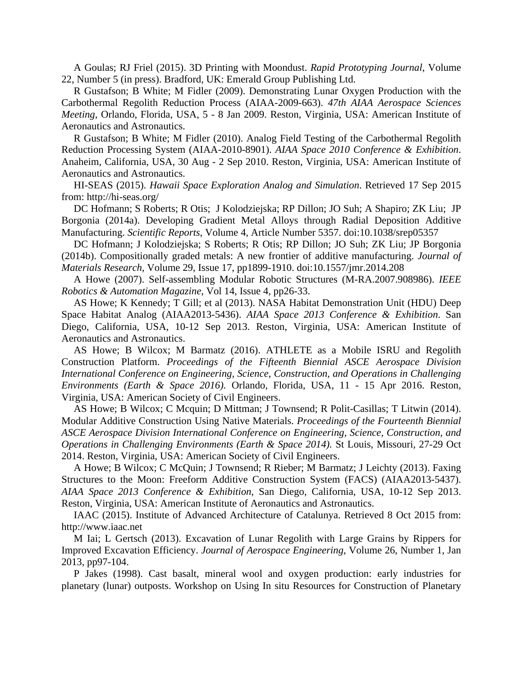A Goulas; RJ Friel (2015). 3D Printing with Moondust. *Rapid Prototyping Journal*, Volume 22, Number 5 (in press). Bradford, UK: Emerald Group Publishing Ltd.

R Gustafson; B White; M Fidler (2009). Demonstrating Lunar Oxygen Production with the Carbothermal Regolith Reduction Process (AIAA-2009-663). *47th AIAA Aerospace Sciences Meeting*, Orlando, Florida, USA, 5 - 8 Jan 2009. Reston, Virginia, USA: American Institute of Aeronautics and Astronautics.

R Gustafson; B White; M Fidler (2010). Analog Field Testing of the Carbothermal Regolith Reduction Processing System (AIAA-2010-8901). *AIAA Space 2010 Conference & Exhibition*. Anaheim, California, USA, 30 Aug - 2 Sep 2010. Reston, Virginia, USA: American Institute of Aeronautics and Astronautics.

HI-SEAS (2015). *Hawaii Space Exploration Analog and Simulation*. Retrieved 17 Sep 2015 from: http://hi-seas.org/

DC Hofmann; S Roberts; R Otis; J Kolodziejska; RP Dillon; JO Suh; A Shapiro; ZK Liu; JP Borgonia (2014a). Developing Gradient Metal Alloys through Radial Deposition Additive Manufacturing. *Scientific Reports*, Volume 4, Article Number 5357. doi:10.1038/srep05357

DC Hofmann; J Kolodziejska; S Roberts; R Otis; RP Dillon; JO Suh; ZK Liu; JP Borgonia (2014b). Compositionally graded metals: A new frontier of additive manufacturing. *Journal of Materials Research*, Volume 29, Issue 17, pp1899-1910. doi:10.1557/jmr.2014.208

A Howe (2007). Self-assembling Modular Robotic Structures (M-RA.2007.908986). *IEEE Robotics & Automation Magazine*, Vol 14, Issue 4, pp26-33.

AS Howe; K Kennedy; T Gill; et al (2013). NASA Habitat Demonstration Unit (HDU) Deep Space Habitat Analog (AIAA2013-5436). *AIAA Space 2013 Conference & Exhibition*. San Diego, California, USA, 10-12 Sep 2013. Reston, Virginia, USA: American Institute of Aeronautics and Astronautics.

AS Howe; B Wilcox; M Barmatz (2016). ATHLETE as a Mobile ISRU and Regolith Construction Platform. *Proceedings of the Fifteenth Biennial ASCE Aerospace Division International Conference on Engineering, Science, Construction, and Operations in Challenging Environments (Earth & Space 2016).* Orlando, Florida, USA, 11 - 15 Apr 2016. Reston, Virginia, USA: American Society of Civil Engineers.

AS Howe; B Wilcox; C Mcquin; D Mittman; J Townsend; R Polit-Casillas; T Litwin (2014). Modular Additive Construction Using Native Materials. *Proceedings of the Fourteenth Biennial ASCE Aerospace Division International Conference on Engineering, Science, Construction, and Operations in Challenging Environments (Earth & Space 2014).* St Louis, Missouri, 27-29 Oct 2014. Reston, Virginia, USA: American Society of Civil Engineers.

A Howe; B Wilcox; C McQuin; J Townsend; R Rieber; M Barmatz; J Leichty (2013). Faxing Structures to the Moon: Freeform Additive Construction System (FACS) (AIAA2013-5437). *AIAA Space 2013 Conference & Exhibition*, San Diego, California, USA, 10-12 Sep 2013. Reston, Virginia, USA: American Institute of Aeronautics and Astronautics.

IAAC (2015). Institute of Advanced Architecture of Catalunya. Retrieved 8 Oct 2015 from: http://www.iaac.net

M Iai; L Gertsch (2013). Excavation of Lunar Regolith with Large Grains by Rippers for Improved Excavation Efficiency. *Journal of Aerospace Engineering*, Volume 26, Number 1, Jan 2013, pp97-104.

P Jakes (1998). Cast basalt, mineral wool and oxygen production: early industries for planetary (lunar) outposts. Workshop on Using In situ Resources for Construction of Planetary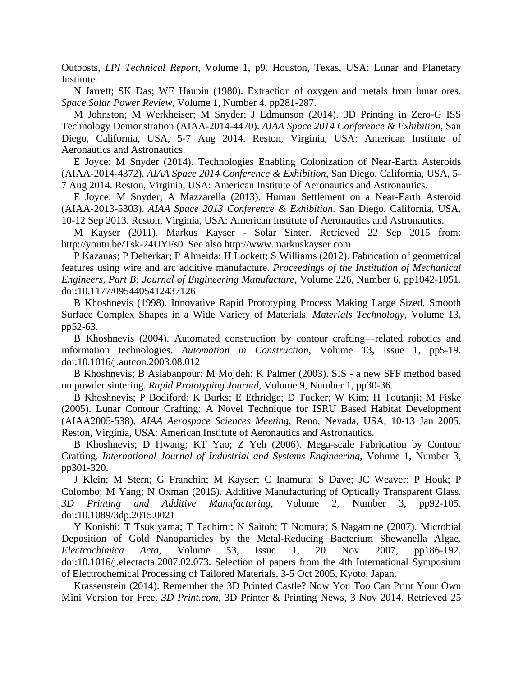Outposts, *LPI Technical Report*, Volume 1, p9. Houston, Texas, USA: Lunar and Planetary Institute.

N Jarrett; SK Das; WE Haupin (1980). Extraction of oxygen and metals from lunar ores. *Space Solar Power Review*, Volume 1, Number 4, pp281-287.

M Johnston; M Werkheiser; M Snyder; J Edmunson (2014). 3D Printing in Zero-G ISS Technology Demonstration (AIAA-2014-4470). *AIAA Space 2014 Conference & Exhibition*, San Diego, California, USA, 5-7 Aug 2014. Reston, Virginia, USA: American Institute of Aeronautics and Astronautics.

E Joyce; M Snyder (2014). Technologies Enabling Colonization of Near-Earth Asteroids (AIAA-2014-4372). *AIAA Space 2014 Conference & Exhibition*, San Diego, California, USA, 5- 7 Aug 2014. Reston, Virginia, USA: American Institute of Aeronautics and Astronautics.

E Joyce; M Snyder; A Mazzarella (2013). Human Settlement on a Near-Earth Asteroid (AIAA-2013-5303). *AIAA Space 2013 Conference & Exhibition*. San Diego, California, USA, 10-12 Sep 2013. Reston, Virginia, USA: American Institute of Aeronautics and Astronautics.

M Kayser (2011). Markus Kayser - Solar Sinter. Retrieved 22 Sep 2015 from: http://youtu.be/Tsk-24UYFs0. See also http://www.markuskayser.com

P Kazanas; P Deherkar; P Almeida; H Lockett; S Williams (2012). Fabrication of geometrical features using wire and arc additive manufacture. *Proceedings of the Institution of Mechanical Engineers, Part B: Journal of Engineering Manufacture*, Volume 226, Number 6, pp1042-1051. doi:10.1177/0954405412437126

B Khoshnevis (1998). Innovative Rapid Prototyping Process Making Large Sized, Smooth Surface Complex Shapes in a Wide Variety of Materials. *Materials Technology*, Volume 13, pp52-63.

B Khoshnevis (2004). Automated construction by contour crafting—related robotics and information technologies. *Automation in Construction*, Volume 13, Issue 1, pp5-19. doi:10.1016/j.autcon.2003.08.012

B Khoshnevis; B Asiabanpour; M Mojdeh; K Palmer (2003). SIS - a new SFF method based on powder sintering. *Rapid Prototyping Journal*, Volume 9, Number 1, pp30-36.

B Khoshnevis; P Bodiford; K Burks; E Ethridge; D Tucker; W Kim; H Toutanji; M Fiske (2005). Lunar Contour Crafting: A Novel Technique for ISRU Based Habitat Development (AIAA2005-538). *AIAA Aerospace Sciences Meeting*, Reno, Nevada, USA, 10-13 Jan 2005. Reston, Virginia, USA: American Institute of Aeronautics and Astronautics.

B Khoshnevis; D Hwang; KT Yao; Z Yeh (2006). Mega-scale Fabrication by Contour Crafting. *International Journal of Industrial and Systems Engineering*, Volume 1, Number 3, pp301-320.

J Klein; M Stern; G Franchin; M Kayser; C Inamura; S Dave; JC Weaver; P Houk; P Colombo; M Yang; N Oxman (2015). Additive Manufacturing of Optically Transparent Glass. *3D Printing and Additive Manufacturing*, Volume 2, Number 3, pp92-105. doi:10.1089/3dp.2015.0021

Y Konishi; T Tsukiyama; T Tachimi; N Saitoh; T Nomura; S Nagamine (2007). Microbial Deposition of Gold Nanoparticles by the Metal-Reducing Bacterium Shewanella Algae. *Electrochimica Acta*, Volume 53, Issue 1, 20 Nov 2007, pp186-192. doi:10.1016/j.electacta.2007.02.073. Selection of papers from the 4th International Symposium of Electrochemical Processing of Tailored Materials, 3-5 Oct 2005, Kyoto, Japan.

Krassenstein (2014). Remember the 3D Printed Castle? Now You Too Can Print Your Own Mini Version for Free. *3D Print.com*, 3D Printer & Printing News, 3 Nov 2014. Retrieved 25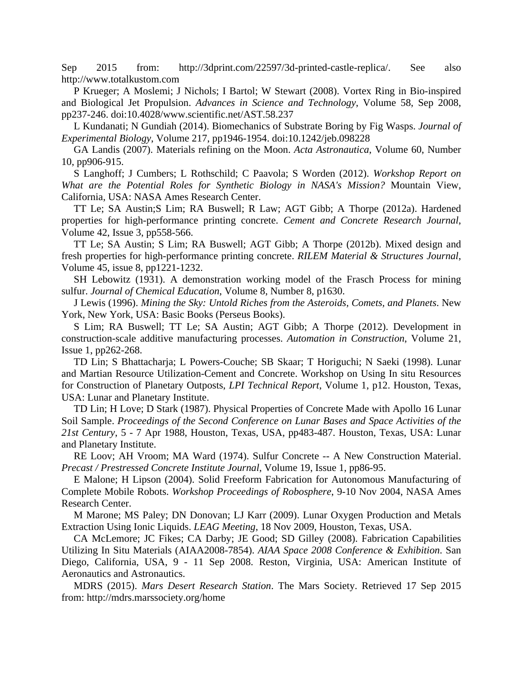Sep 2015 from: http://3dprint.com/22597/3d-printed-castle-replica/. See also http://www.totalkustom.com

P Krueger; A Moslemi; J Nichols; I Bartol; W Stewart (2008). Vortex Ring in Bio-inspired and Biological Jet Propulsion. *Advances in Science and Technology*, Volume 58, Sep 2008, pp237-246. doi:10.4028/www.scientific.net/AST.58.237

L Kundanati; N Gundiah (2014). Biomechanics of Substrate Boring by Fig Wasps. *Journal of Experimental Biology*, Volume 217, pp1946-1954. doi:10.1242/jeb.098228

GA Landis (2007). Materials refining on the Moon. *Acta Astronautica*, Volume 60, Number 10, pp906-915.

S Langhoff; J Cumbers; L Rothschild; C Paavola; S Worden (2012). *Workshop Report on What are the Potential Roles for Synthetic Biology in NASA's Mission?* Mountain View, California, USA: NASA Ames Research Center.

TT Le; SA Austin;S Lim; RA Buswell; R Law; AGT Gibb; A Thorpe (2012a). Hardened properties for high-performance printing concrete. *Cement and Concrete Research Journal*, Volume 42, Issue 3, pp558-566.

TT Le; SA Austin; S Lim; RA Buswell; AGT Gibb; A Thorpe (2012b). Mixed design and fresh properties for high-performance printing concrete. *RILEM Material & Structures Journal*, Volume 45, issue 8, pp1221-1232.

SH Lebowitz (1931). A demonstration working model of the Frasch Process for mining sulfur. *Journal of Chemical Education*, Volume 8, Number 8, p1630.

J Lewis (1996). *Mining the Sky: Untold Riches from the Asteroids, Comets, and Planets*. New York, New York, USA: Basic Books (Perseus Books).

S Lim; RA Buswell; TT Le; SA Austin; AGT Gibb; A Thorpe (2012). Development in construction-scale additive manufacturing processes. *Automation in Construction*, Volume 21, Issue 1, pp262-268.

TD Lin; S Bhattacharja; L Powers-Couche; SB Skaar; T Horiguchi; N Saeki (1998). Lunar and Martian Resource Utilization-Cement and Concrete. Workshop on Using In situ Resources for Construction of Planetary Outposts, *LPI Technical Report*, Volume 1, p12. Houston, Texas, USA: Lunar and Planetary Institute.

TD Lin; H Love; D Stark (1987). Physical Properties of Concrete Made with Apollo 16 Lunar Soil Sample. *Proceedings of the Second Conference on Lunar Bases and Space Activities of the 21st Century*, 5 - 7 Apr 1988, Houston, Texas, USA, pp483-487. Houston, Texas, USA: Lunar and Planetary Institute.

RE Loov; AH Vroom; MA Ward (1974). Sulfur Concrete -- A New Construction Material. *Precast / Prestressed Concrete Institute Journal*, Volume 19, Issue 1, pp86-95.

E Malone; H Lipson (2004). Solid Freeform Fabrication for Autonomous Manufacturing of Complete Mobile Robots. *Workshop Proceedings of Robosphere*, 9-10 Nov 2004, NASA Ames Research Center.

M Marone; MS Paley; DN Donovan; LJ Karr (2009). Lunar Oxygen Production and Metals Extraction Using Ionic Liquids. *LEAG Meeting*, 18 Nov 2009, Houston, Texas, USA.

CA McLemore; JC Fikes; CA Darby; JE Good; SD Gilley (2008). Fabrication Capabilities Utilizing In Situ Materials (AIAA2008-7854). *AIAA Space 2008 Conference & Exhibition*. San Diego, California, USA, 9 - 11 Sep 2008. Reston, Virginia, USA: American Institute of Aeronautics and Astronautics.

MDRS (2015). *Mars Desert Research Station*. The Mars Society. Retrieved 17 Sep 2015 from: http://mdrs.marssociety.org/home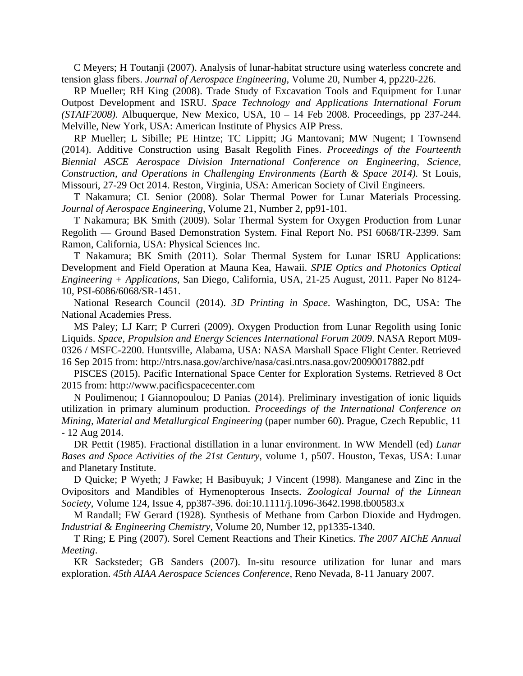C Meyers; H Toutanji (2007). Analysis of lunar-habitat structure using waterless concrete and tension glass fibers. *Journal of Aerospace Engineering*, Volume 20, Number 4, pp220-226.

RP Mueller; RH King (2008). Trade Study of Excavation Tools and Equipment for Lunar Outpost Development and ISRU. *Space Technology and Applications International Forum (STAIF2008).* Albuquerque, New Mexico, USA, 10 – 14 Feb 2008. Proceedings, pp 237-244. Melville, New York, USA: American Institute of Physics AIP Press.

RP Mueller; L Sibille; PE Hintze; TC Lippitt; JG Mantovani; MW Nugent; I Townsend (2014). Additive Construction using Basalt Regolith Fines. *Proceedings of the Fourteenth Biennial ASCE Aerospace Division International Conference on Engineering, Science, Construction, and Operations in Challenging Environments (Earth & Space 2014).* St Louis, Missouri, 27-29 Oct 2014. Reston, Virginia, USA: American Society of Civil Engineers.

T Nakamura; CL Senior (2008). Solar Thermal Power for Lunar Materials Processing. *Journal of Aerospace Engineering*, Volume 21, Number 2, pp91-101.

T Nakamura; BK Smith (2009). Solar Thermal System for Oxygen Production from Lunar Regolith — Ground Based Demonstration System. Final Report No. PSI 6068/TR-2399. Sam Ramon, California, USA: Physical Sciences Inc.

T Nakamura; BK Smith (2011). Solar Thermal System for Lunar ISRU Applications: Development and Field Operation at Mauna Kea, Hawaii. *SPIE Optics and Photonics Optical Engineering + Applications*, San Diego, California, USA, 21-25 August, 2011. Paper No 8124- 10, PSI-6086/6068/SR-1451.

National Research Council (2014). *3D Printing in Space*. Washington, DC, USA: The National Academies Press.

MS Paley; LJ Karr; P Curreri (2009). Oxygen Production from Lunar Regolith using Ionic Liquids. *Space, Propulsion and Energy Sciences International Forum 2009*. NASA Report M09- 0326 / MSFC-2200. Huntsville, Alabama, USA: NASA Marshall Space Flight Center. Retrieved 16 Sep 2015 from: http://ntrs.nasa.gov/archive/nasa/casi.ntrs.nasa.gov/20090017882.pdf

PISCES (2015). Pacific International Space Center for Exploration Systems. Retrieved 8 Oct 2015 from: http://www.pacificspacecenter.com

N Poulimenou; I Giannopoulou; D Panias (2014). Preliminary investigation of ionic liquids utilization in primary aluminum production. *Proceedings of the International Conference on Mining, Material and Metallurgical Engineering* (paper number 60). Prague, Czech Republic, 11 - 12 Aug 2014.

DR Pettit (1985). Fractional distillation in a lunar environment. In WW Mendell (ed) *Lunar Bases and Space Activities of the 21st Century*, volume 1, p507. Houston, Texas, USA: Lunar and Planetary Institute.

D Quicke; P Wyeth; J Fawke; H Basibuyuk; J Vincent (1998). Manganese and Zinc in the Ovipositors and Mandibles of Hymenopterous Insects. *Zoological Journal of the Linnean Society*, Volume 124, Issue 4, pp387-396. doi:10.1111/j.1096-3642.1998.tb00583.x

M Randall; FW Gerard (1928). Synthesis of Methane from Carbon Dioxide and Hydrogen. *Industrial & Engineering Chemistry*, Volume 20, Number 12, pp1335-1340.

T Ring; E Ping (2007). Sorel Cement Reactions and Their Kinetics. *The 2007 AIChE Annual Meeting*.

KR Sacksteder; GB Sanders (2007). In-situ resource utilization for lunar and mars exploration. *45th AIAA Aerospace Sciences Conference,* Reno Nevada, 8-11 January 2007.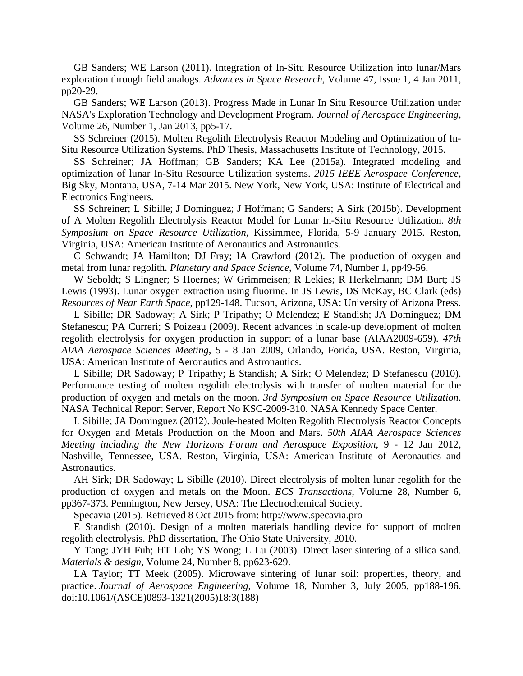GB Sanders; WE Larson (2011). Integration of In-Situ Resource Utilization into lunar/Mars exploration through field analogs. *Advances in Space Research*, Volume 47, Issue 1, 4 Jan 2011, pp20-29.

GB Sanders; WE Larson (2013). Progress Made in Lunar In Situ Resource Utilization under NASA's Exploration Technology and Development Program. *Journal of Aerospace Engineering*, Volume 26, Number 1, Jan 2013, pp5-17.

SS Schreiner (2015). Molten Regolith Electrolysis Reactor Modeling and Optimization of In-Situ Resource Utilization Systems. PhD Thesis, Massachusetts Institute of Technology, 2015.

SS Schreiner; JA Hoffman; GB Sanders; KA Lee (2015a). Integrated modeling and optimization of lunar In-Situ Resource Utilization systems. *2015 IEEE Aerospace Conference*, Big Sky, Montana, USA, 7-14 Mar 2015. New York, New York, USA: Institute of Electrical and Electronics Engineers.

SS Schreiner; L Sibille; J Dominguez; J Hoffman; G Sanders; A Sirk (2015b). Development of A Molten Regolith Electrolysis Reactor Model for Lunar In-Situ Resource Utilization. *8th Symposium on Space Resource Utilization*, Kissimmee, Florida, 5-9 January 2015. Reston, Virginia, USA: American Institute of Aeronautics and Astronautics.

C Schwandt; JA Hamilton; DJ Fray; IA Crawford (2012). The production of oxygen and metal from lunar regolith. *Planetary and Space Science*, Volume 74, Number 1, pp49-56.

W Seboldt; S Lingner; S Hoernes; W Grimmeisen; R Lekies; R Herkelmann; DM Burt; JS Lewis (1993). Lunar oxygen extraction using fluorine. In JS Lewis, DS McKay, BC Clark (eds) *Resources of Near Earth Space*, pp129-148. Tucson, Arizona, USA: University of Arizona Press.

L Sibille; DR Sadoway; A Sirk; P Tripathy; O Melendez; E Standish; JA Dominguez; DM Stefanescu; PA Curreri; S Poizeau (2009). Recent advances in scale-up development of molten regolith electrolysis for oxygen production in support of a lunar base (AIAA2009-659). *47th AIAA Aerospace Sciences Meeting*, 5 - 8 Jan 2009, Orlando, Forida, USA. Reston, Virginia, USA: American Institute of Aeronautics and Astronautics.

L Sibille; DR Sadoway; P Tripathy; E Standish; A Sirk; O Melendez; D Stefanescu (2010). Performance testing of molten regolith electrolysis with transfer of molten material for the production of oxygen and metals on the moon. *3rd Symposium on Space Resource Utilization*. NASA Technical Report Server, Report No KSC-2009-310. NASA Kennedy Space Center.

L Sibille; JA Dominguez (2012). Joule-heated Molten Regolith Electrolysis Reactor Concepts for Oxygen and Metals Production on the Moon and Mars. *50th AIAA Aerospace Sciences Meeting including the New Horizons Forum and Aerospace Exposition*, 9 - 12 Jan 2012, Nashville, Tennessee, USA. Reston, Virginia, USA: American Institute of Aeronautics and Astronautics.

AH Sirk; DR Sadoway; L Sibille (2010). Direct electrolysis of molten lunar regolith for the production of oxygen and metals on the Moon. *ECS Transactions*, Volume 28, Number 6, pp367-373. Pennington, New Jersey, USA: The Electrochemical Society.

Specavia (2015). Retrieved 8 Oct 2015 from: http://www.specavia.pro

E Standish (2010). Design of a molten materials handling device for support of molten regolith electrolysis. PhD dissertation, The Ohio State University, 2010.

Y Tang; JYH Fuh; HT Loh; YS Wong; L Lu (2003). Direct laser sintering of a silica sand. *Materials & design*, Volume 24, Number 8, pp623-629.

LA Taylor; TT Meek (2005). Microwave sintering of lunar soil: properties, theory, and practice. *Journal of Aerospace Engineering*, Volume 18, Number 3, July 2005, pp188-196. doi:10.1061/(ASCE)0893-1321(2005)18:3(188)